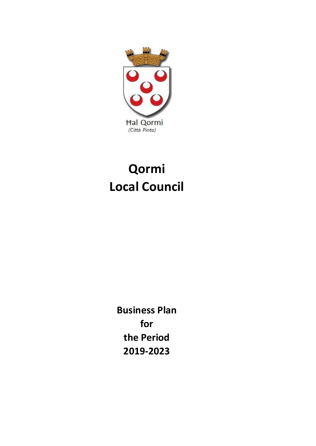

# Qormi Local Council

2019-2023 Business Plan for the Period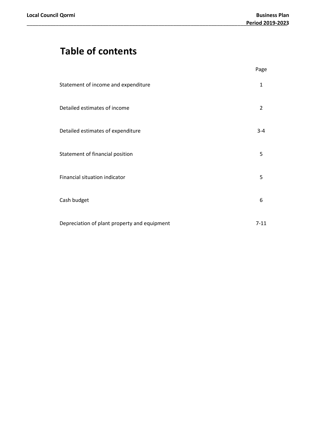# Table of contents

|                                              | Page     |
|----------------------------------------------|----------|
| Statement of income and expenditure          | 1        |
| Detailed estimates of income                 | 2        |
| Detailed estimates of expenditure            | $3 - 4$  |
| Statement of financial position              | 5        |
| Financial situation indicator                | 5        |
| Cash budget                                  | 6        |
| Depreciation of plant property and equipment | $7 - 11$ |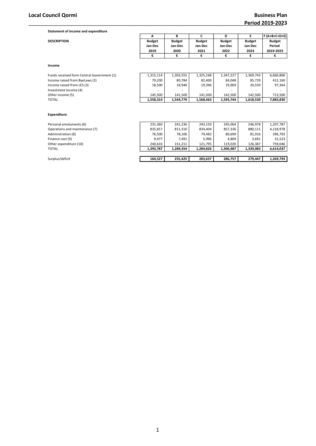| Statement of income and expenditure |               |               |               |               |               |               |
|-------------------------------------|---------------|---------------|---------------|---------------|---------------|---------------|
|                                     |               | В             |               | D             |               | F (A+B+C+D+E) |
| <b>DESCRIPTION</b>                  | <b>Budget</b> | <b>Budget</b> | <b>Budget</b> | <b>Budget</b> | <b>Budget</b> | <b>Budget</b> |
|                                     | Jan-Dec       | Jan-Dec       | Jan-Dec       | Jan-Dec       | Jan-Dec       | Period        |
|                                     | 2019          | 2020          | 2021          | 2022          | 2023          | 2019-2023     |
|                                     |               |               |               |               |               |               |

#### Income

| Funds received form Central Government (1) | 1.315.114 | 1.303.555 | 1.325.168 | 1.347.227 | 1,369,743                | 6,660,806 |
|--------------------------------------------|-----------|-----------|-----------|-----------|--------------------------|-----------|
| Income raised from ByeLaws (2)             | 79.200    | 80.784    | 82.400    | 84.048    | 85.729                   | 412.160   |
| Income raised from LES (3)                 | 18,500    | 18,940    | 19.396    | 19.969    | 20,559                   | 97.364    |
| Investment Income (4)                      | -         |           | -         | -         | $\overline{\phantom{a}}$ |           |
| Other income (5)                           | 145.500   | 141.500   | 141.500   | 142.500   | 142.500                  | 713.500   |
| <b>TOTAL</b>                               | 1,558,314 | 1.544.779 | 1.568.463 | 1.593.744 | 1.618.530                | 7,883,830 |

#### Expenditure

| Personal emoluments (6)        | 231,360   | 241,236   | 243.150   | 245.064   | 246.978   | 1,207,787 |
|--------------------------------|-----------|-----------|-----------|-----------|-----------|-----------|
| Operations and maintenance (7) | 835,817   | 811,310   | 834,404   | 857,336   | 880,111   | 4,218,978 |
| Administration (8)             | 76.500    | 78,106    | 79.482    | 80,699    | 81,916    | 396,703   |
| Finance cost (9)               | 9.477     | 7.491     | 5.996     | 4.869     | 3,691     | 31,523    |
| Other expenditure (10)         | 240.633   | 151.211   | 121.795   | 119.020   | 126.387   | 759.046   |
| <b>TOTAL</b>                   | 1,393,787 | 1,289,354 | 1,284,826 | 1,306,987 | 1,339,083 | 6,614,037 |
|                                |           |           |           |           |           |           |
| Surplus/deficit                | 164,527   | 255.425   | 283,637   | 286,757   | 279.447   | 1,269,793 |

1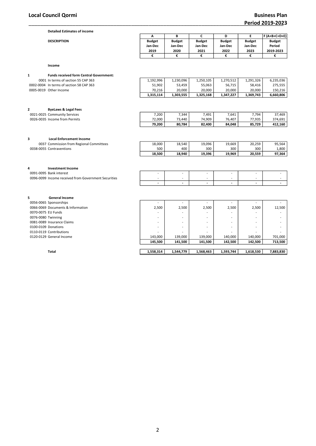| <b>Detailed Estimates of income</b> |               |               |               |               |               |                  |
|-------------------------------------|---------------|---------------|---------------|---------------|---------------|------------------|
|                                     | n             | D             |               | D             |               | $ F(A+B+C+D+E) $ |
| <b>DESCRIPTION</b>                  | <b>Budget</b> | <b>Budget</b> | <b>Budget</b> | <b>Budget</b> | <b>Budget</b> | <b>Budget</b>    |
|                                     | Jan-Dec       | Jan-Dec       | Jan-Dec       | Jan-Dec       | Jan-Dec       | Period           |
|                                     | 2019          | 2020          | 2021          | 2022          | 2023          | 2019-2023        |
|                                     |               |               |               |               |               |                  |

Income

| <b>Funds received form Central Government:</b> |           |           |           |           |           |           |
|------------------------------------------------|-----------|-----------|-----------|-----------|-----------|-----------|
| 0001 In terms of section 55 CAP 363            | 1.192.996 | 1.230.096 | 1.250.105 | 1.270.512 | 1.291.326 | 6.235.036 |
| 0002-0004 In terms of section 58 CAP 363       | 51.902    | 53.459    | 55.063    | 56.715    | 58.416    | 275.555   |
| 0005-0019 Other Income                         | 70.216    | 20.000    | 20.000    | 20.000    | 20.000    | 150.216   |
|                                                | 1.315.114 | 1,303,555 | 1.325.168 | 1,347,227 | 1,369,743 | 6.660.806 |

# 2 ByeLaws & Legal Fees

| 0021-0025<br><b>Community Services</b> | ,200                               | 7,344  | 491,   | 7,641  | 7,794  | 37,469  |
|----------------------------------------|------------------------------------|--------|--------|--------|--------|---------|
| 0026-0035<br>Income from Permits       | /2.000<br>$\overline{\phantom{a}}$ | 73.440 | 74,909 | 76.407 | 77.935 | 374.691 |
|                                        | 79.200                             | 80,784 | 82.400 | 84.048 | 85.729 | 412.160 |

#### 3 Local Enforcement Income 0037 Commission from Regional Committees 18,000 18,540 19,096 19,096 19,0569 20,259 95,564<br>18,000 1900 1900 300 300 1,800 1,800 1,800 1,800 0038-0055 Contraventions

| . | .      |        | .      |        | .      | .      |
|---|--------|--------|--------|--------|--------|--------|
|   | 18.500 | 18.940 | 19.396 | 19,969 | 20.559 | 97,364 |
|   |        |        |        |        |        |        |
|   |        |        |        |        |        |        |

| Investment Income                                    |  |  |  |
|------------------------------------------------------|--|--|--|
| 0091-0095 Bank interest                              |  |  |  |
| 0096-0099 Income received from Government Securities |  |  |  |
|                                                      |  |  |  |

#### 5 General Income

|                     | 0056-0065 Sponsorships            |
|---------------------|-----------------------------------|
|                     | 0066-0069 Documents & Information |
| 0070-0075 EU Funds  |                                   |
| 0076-0080 Twinning  |                                   |
|                     | 0081-0089 Insurance Claims        |
| 0100-0109 Donations |                                   |
|                     | 0110-0119 Contributions           |
|                     | 0120-0129 General Income          |
|                     |                                   |

|                     | Total                             | 1,558,314 | 1,544,779                | 1,568,463                | 1,593,744                | 1,618,530 | 7,883,830 |
|---------------------|-----------------------------------|-----------|--------------------------|--------------------------|--------------------------|-----------|-----------|
|                     |                                   | 145,500   | 141,500                  | 141,500                  | 142,500                  | 142,500   | 713,500   |
|                     | 0120-0129 General Income          | 143,000   | 139,000                  | 139,000                  | 140,000                  | 140,000   | 701,000   |
|                     | 0110-0119 Contributions           |           | -                        |                          | $\overline{\phantom{0}}$ | -         |           |
| 0100-0109 Donations |                                   |           | $\overline{\phantom{a}}$ | $\overline{\phantom{0}}$ | ۰                        |           |           |
|                     | 0081-0089 Insurance Claims        |           | ۰                        | $\sim$                   | ۰                        |           |           |
| 0076-0080 Twinning  |                                   |           | ۰                        | $\overline{\phantom{a}}$ | $\overline{\phantom{0}}$ | -         |           |
| 0070-0075 EU Funds  |                                   |           | ۰                        |                          | ۰                        |           |           |
|                     | 0066-0069 Documents & Information | 2,500     | 2,500                    | 2,500                    | 2,500                    | 2,500     | 12,500    |
|                     | 0056-0065 Sponsorships            |           |                          |                          | -                        |           |           |
|                     |                                   |           |                          |                          |                          |           |           |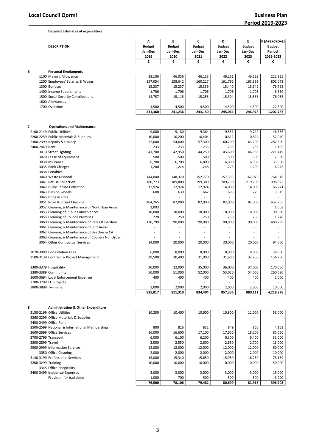2600-2699 Office Services

3200-3299 Training

3050 Office Cleaning

3345 Office Hospitality

Detailed Estimates of expenditure

|                    |                                                 | А             | В             | C             | D             | E             | F (A+B+C+D+E) |
|--------------------|-------------------------------------------------|---------------|---------------|---------------|---------------|---------------|---------------|
|                    | <b>DESCRIPTION</b>                              | <b>Budget</b> | <b>Budget</b> | <b>Budget</b> | <b>Budget</b> | <b>Budget</b> | <b>Budget</b> |
|                    |                                                 | Jan-Dec       | Jan-Dec       | Jan-Dec       | Jan-Dec       | Jan-Dec       | Period        |
|                    |                                                 | 2019          | 2020          | 2021          | 2022          | 2023          | 2019-2023     |
|                    |                                                 | €             | €             | €             | €             | €             | €             |
| 6                  | <b>Personal Emoluments</b>                      |               |               |               |               |               |               |
|                    | 1100 Mayor's Allowance                          | 38,106        | 46,036        | 46,133        | 46,231        | 46,329        | 222,835       |
|                    | 1200 Employees' Salaries & Wages                | 157,054       | 158,642       | 160,217       | 161,792       | 163,368       | 801,073       |
|                    | 1300 Bonuses                                    | 15,237        | 15,237        | 15,339        | 15,440        | 15,542        | 76,795        |
|                    | 1400 Income Supplements                         | 1,706         | 1,706         | 1,706         | 1,706         | 1,706         | 8,530         |
|                    | 1500 Social Security Contributions              | 14,757        | 15,115        | 15,255        | 15,394        | 15,533        | 76,055        |
|                    | 1600 Allowances                                 |               |               |               |               |               |               |
|                    | 1700 Overtime                                   | 4,500         | 4,500         | 4,500         | 4,500         | 4,500         | 22,500        |
|                    |                                                 | 231,360       | 241,236       | 243,150       | 245,064       | 246,978       | 1,207,787     |
|                    |                                                 |               |               |               |               |               |               |
| 7                  | <b>Operations and Maintenance</b>               |               |               |               |               |               |               |
|                    | 2100-2149 Public Utilities                      | 9,000         | 9,180         | 9,364         | 9,551         | 9,742         | 46,836        |
|                    | 2200-2259 Public Materials & Supplies           | 10,000        | 10,200        | 10,404        | 10,612        | 10,824        | 52,040        |
|                    | 2300-2399 Repairs & Upkeep                      | 52,000        | 54,600        | 57,300        | 60,200        | 63,200        | 287,300       |
| 2400-2449 Rent     |                                                 | 233           | 233           | 233           | 233           | 233           | 1,165         |
|                    | 3010 Street Lighting                            | 41,700        | 42,950        | 44,250        | 45,600        | 46,950        | 221,449       |
|                    | 3020 Lease of Equipment                         | 500           | 500           | 500           | 500           | 500           | 2,500         |
|                    | 3030 Insurance                                  | 6,700         | 6,700         | 6,800         | 6,800         | 6,900         | 33,900        |
|                    | 3035 Bank Charges                               | 1,200         | 1,224         | 1,248         | 1,273         | 1,299         | 6,245         |
|                    | 3038 Penalties                                  |               |               |               |               |               |               |
|                    | 3040 Waste Disposal                             | 144,000       | 148,320       | 152,770       | 157,353       | 162,073       | 764,516       |
|                    | 3041 Refuse Collection                          | 180,773       | 189,800       | 199,300       | 209,250       | 219,700       | 998,822       |
|                    | 3042 Bulky Refuse Collection                    | 12,924        | 12,924        | 12,924        | 14,000        | 14,000        | 66,771        |
|                    | 3043 Bins on wheels                             | 600           | 630           | 662           | 695           | 729           | 3,315         |
|                    | 3045 Bring in sites                             |               |               |               |               |               |               |
|                    | 3051 Road & Street Cleaning                     | 104,265       | 82,000        | 82,000        | 82,000        | 82,000        | 432,265       |
|                    | 3052 Cleaning & Maintenance of NonUrban Areas   | 1,003         |               |               |               |               | 1,003         |
|                    | 3053 Cleaning of Public Conveniences            | 18,000        | 18,000        | 18,000        | 18,000        | 18,000        | 90,000        |
|                    | 3055 Cleaning of Council Premises               | 220           | 250           | 250           | 250           | 250           | 1,220         |
|                    |                                                 | 120,799       | 90,000        | 90,000        | 90,000        | 90,000        | 480,799       |
|                    | 3060 Cleaning & Maintenance of Parks & Gardens  |               |               | ÷,            |               |               |               |
|                    | 3061 Cleaning & Maintenance of Soft Areas       |               | ٠             | ٠             | ä,            |               |               |
|                    | 3062 Cleaning & Maintenance of Beaches & CA     |               |               |               |               |               |               |
|                    | 3063 Cleaning & Maintenance of Country NonUrban |               |               |               |               |               |               |
|                    | 3064 Other Contractual Services                 | 14,000        | 20,000        | 20,000        | 20,000        | 20,000        | 94,000        |
|                    | 3070-3090 Consultation Fees                     | 6,000         | 8,000         | 8,000         | 8,000         | 8,000         | 38,000        |
|                    | 3100-3139 Contract & Project Management         | 29,500        | 30,400        | 31,000        | 31,600        | 32,250        | 154,750       |
|                    |                                                 |               |               |               |               |               |               |
|                    | 3300-3379 Hospitality                           | 30,000        | 32,000        | 35,000        | 36,000        | 37,000        | 170,000       |
|                    | 3380-3389 Community                             | 50,000        | 51,000        | 52,000        | 53,020        | 54,060        | 260,080       |
|                    | 3600-3694 Local Enforcement Expenses            | 400           | 400           | 400           | 400           | 400           | 2,000         |
|                    | 3700-3799 EU Projects                           |               |               |               |               |               |               |
| 3800-3899 Twinning |                                                 | 2,000         | 2,000         | 2,000         | 2,000         | 2,000         | 10,000        |
|                    |                                                 | 835,817       | 811,310       | 834,404       | 857,336       | 880,111       | 4,218,978     |
|                    |                                                 |               |               |               |               |               |               |
| 8                  | <b>Administration &amp; Other Expenditure</b>   |               |               |               |               |               |               |
|                    | 2150-2199 Office Utilities                      | 10,200        | 10,400        | 10,600        | 10,800        | 11,000        | 53,000        |
|                    | 2260-2299 Office Materials & Supplies           |               |               |               |               |               |               |
|                    | 2450-2499 Office Rent                           |               |               |               |               |               | $\sim$        |

|    | . . |   |        |
|----|-----|---|--------|
|    |     |   | ı      |
|    |     |   |        |
| M. |     | ٠ | I<br>I |

2500-2599 National & International Memberships  $2500-2599$  Office Services 85,550 85,550 85,550 85,550 85,550 85,550 85,550 85,550 85,550 85,550 85,550 85,550 85,550 85,550 85,550 85,550 85,550 85,550 85,550 85,550 85,550

2700-2799 Transport 6,000 6,100 6,200 6,300 6,400 31,000 2800-2899 Travel 2,500 2,550 2,600 2,650 2,700 13,000 2900-2999 Information Services 12,000 12,000 12,000 12,000 12,000 60,000

3140-3199 Professional Services 15,000 15,000 15,340 15,650 15,950 16,250 16,250 78,189<br>3200-3299 Training 10,000 10,000 10,000 10,000 10,000 10,000 10,000 10,000 50,000

3400-3499 Incidental Expenses 36 | 3,000 3,000 3,000 3,000 3,000 3,000 3,000 3,000 15,000

Provision for bad debts  $\begin{array}{|c|c|c|c|c|c|c|c|c|}\n\hline\n\end{array}$  1,000 - 700 - 500 - 500 - 500 - 3,200 - 3,200 - 3,200 - 78,106 - 79,482 - 80,699 - 81,916 - 396,703

76,500 78,106 79,482 80,699 81,916 396,703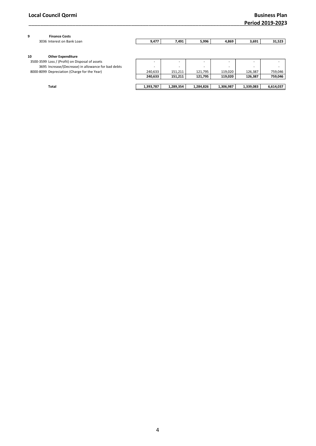| 9<br><b>Finance Costs</b>                           |                          |           |                          |           |           |           |
|-----------------------------------------------------|--------------------------|-----------|--------------------------|-----------|-----------|-----------|
| 3036 Interest on Bank Loan                          | 9,477                    | 7,491     | 5,996                    | 4,869     | 3,691     | 31,523    |
|                                                     |                          |           |                          |           |           |           |
| 10<br><b>Other Expenditure</b>                      |                          |           |                          |           |           |           |
| 3500-3599 Loss / (Profit) on Disposal of assets     |                          |           |                          | ۰         |           |           |
| 3695 Increase/(Decrease) in allowance for bad debts | $\overline{\phantom{a}}$ | ۰         | $\overline{\phantom{a}}$ |           |           |           |
| 8000-8099 Depreciation (Charge for the Year)        | 240,633                  | 151,211   | 121,795                  | 119,020   | 126,387   | 759,046   |
|                                                     | 240,633                  | 151,211   | 121,795                  | 119,020   | 126,387   | 759,046   |
|                                                     |                          |           |                          |           |           |           |
| Total                                               | 1,393,787                | 1,289,354 | 1,284,826                | 1,306,987 | 1,339,083 | 6,614,037 |
|                                                     |                          |           |                          |           |           |           |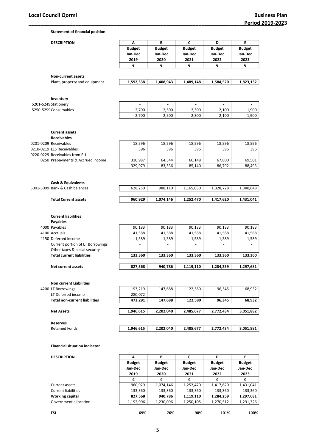Statement of financial position

| <b>DESCRIPTION</b>                                              | A                  | В                | C              | D                | E                |
|-----------------------------------------------------------------|--------------------|------------------|----------------|------------------|------------------|
|                                                                 | <b>Budget</b>      | <b>Budget</b>    | <b>Budget</b>  | <b>Budget</b>    | <b>Budget</b>    |
|                                                                 | Jan-Dec            | Jan-Dec          | Jan-Dec        | Jan-Dec          | Jan-Dec          |
|                                                                 | 2019               | 2020             | 2021           | 2022             | 2023             |
|                                                                 | €                  | €                | €              | €                | €                |
| <b>Non-current assets</b>                                       |                    |                  |                |                  |                  |
| Plant, property and equipment                                   | 1,592,338          | 1,408,943        | 1,489,148      | 1,584,520        | 1,823,132        |
|                                                                 |                    |                  |                |                  |                  |
| Inventory                                                       |                    |                  |                |                  |                  |
| 5201-5249 Stationery                                            |                    |                  | $\overline{a}$ | $\overline{a}$   |                  |
| 5250-5299 Consumables                                           | 2,700              | 2,500            | 2,300          | 2,100            | 1,900            |
|                                                                 | 2,700              | 2,500            | 2,300          | 2,100            | 1,900            |
|                                                                 |                    |                  |                |                  |                  |
| <b>Current assets</b><br><b>Receivables</b>                     |                    |                  |                |                  |                  |
| 0201-0209 Receivables                                           | 18,596             | 18,596           | 18,596         | 18,596           | 18,596           |
| 0210-0219 LES Receivables                                       | 396                | 396              | 396            | 396              | 396              |
| 0220-0229 Receivables from EU                                   |                    | ÷,               |                |                  |                  |
|                                                                 |                    |                  | 66,148         |                  |                  |
| 0250 Prepayments & Accrued income                               | 310,987<br>329,979 | 64,544<br>83,536 | 85,140         | 67,800<br>86,792 | 69,501<br>88,493 |
|                                                                 |                    |                  |                |                  |                  |
|                                                                 |                    |                  |                |                  |                  |
| <b>Cash &amp; Equivalents</b><br>5001-5099 Bank & Cash balances |                    |                  |                |                  |                  |
|                                                                 | 628,250            | 988,110          | 1,165,030      | 1,328,728        | 1,340,648        |
| <b>Total Current assets</b>                                     | 960,929            | 1,074,146        | 1,252,470      | 1,417,620        | 1,431,041        |
| <b>Current liabilities</b><br><b>Payables</b>                   |                    |                  |                |                  |                  |
| 4000 Payables                                                   | 90,183             | 90,183           | 90,183         | 90,183           | 90,183           |
| 4100 Accruals                                                   | 41,588             | 41,588           | 41,588         | 41,588           | 41,588           |
| 4150 Deferred income                                            | 1,589              | 1,589            | 1,589          | 1,589            | 1,589            |
| Current portion of LT Borrowings                                |                    |                  |                |                  |                  |
| Other taxes & social security                                   |                    |                  |                |                  |                  |
| <b>Total current liabilities</b>                                | 133,360            | 133,360          | 133,360        | 133,360          | 133,360          |
| <b>Net current assets</b>                                       | 827,568            | 940,786          | 1,119,110      | 1,284,259        | 1,297,681        |
|                                                                 |                    |                  |                |                  |                  |
| <b>Non current Liabilities</b><br>4200 LT Borrowings            | 193,219            | 147,688          | 122,580        | 96,345           | 68,932           |
| LT Deferred income                                              | 280,072            |                  | $\sim$         |                  |                  |
| <b>Total non-current liabilities</b>                            | 473,291            | 147,688          | 122,580        | 96,345           | 68,932           |
| <b>Net Assets</b>                                               | 1,946,615          | 2,202,040        | 2,485,677      | 2,772,434        | 3,051,882        |
|                                                                 |                    |                  |                |                  |                  |
| <b>Reserves</b>                                                 |                    |                  |                |                  |                  |
| <b>Retained Funds</b>                                           | 1,946,615          | 2,202,040        | 2,485,677      | 2,772,434        | 3,051,881        |
| <b>Financial situation indicator</b>                            |                    |                  |                |                  |                  |
|                                                                 |                    |                  |                |                  |                  |
| <b>DESCRIPTION</b>                                              | Α                  | В                | C              | D                | E.               |
|                                                                 | <b>Budget</b>      | <b>Budget</b>    | <b>Budget</b>  | <b>Budget</b>    | <b>Budget</b>    |
|                                                                 | Jan-Dec            | Jan-Dec          | Jan-Dec        | Jan-Dec          | Jan-Dec          |
|                                                                 | 2019               | 2020             | 2021           | 2022             | 2023             |
| Current assets                                                  | €<br>960,929       | €<br>1,074,146   | €<br>1,252,470 | €<br>1,417,620   | €<br>1,431,041   |
|                                                                 |                    |                  |                |                  |                  |

Current liabilities 133,360 133,360 133,360 133,360 133,360 133,360 133,360 133,360 133,360 1,297,681

Government allocation 1,192,996 1,230,096 1,250,105 1,270,512 1,291,326

Working capital **827,568** 940,786 1,119,110 1,284,259<br>Government allocation 1,192,996 1,230,096 1,250,105 1,270,512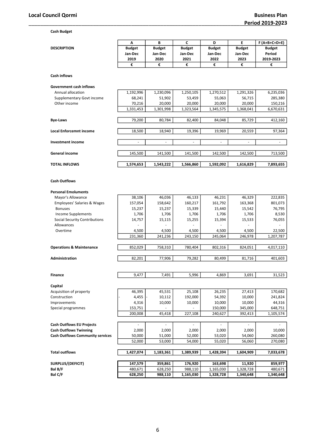Cash Budget

| <b>Budget</b><br><b>Budget</b><br><b>Budget</b><br><b>Budget</b><br><b>Budget</b><br><b>Budget</b><br><b>DESCRIPTION</b><br>Period<br>Jan-Dec<br>Jan-Dec<br>Jan-Dec<br>Jan-Dec<br>Jan-Dec<br>2019<br>2020<br>2021<br>2022<br>2023<br>2019-2023<br>€<br>€<br>€<br>€<br>€<br>€<br><b>Cash inflows</b><br><b>Government cash inflows</b><br>Annual allocation<br>1,192,996<br>1,230,096<br>1,250,105<br>1,270,512<br>1,291,326<br>6,235,036<br>Supplementary Govt income<br>68,241<br>51,902<br>53,459<br>55,063<br>56,715<br>285,380<br>70,216<br>150,216<br>Other income<br>20,000<br>20,000<br>20,000<br>20,000<br>1,331,453<br>1,301,998<br>1,323,564<br>1,345,575<br>1,368,041<br>6,670,631<br>79,200<br>80,784<br><b>Bye-Laws</b><br>82,400<br>84,048<br>85,729<br>412,160<br>18,500<br>18,940<br>19,396<br>20,559<br>97,364<br>19,969<br><b>Local Enforcemnt income</b><br><b>Investment income</b><br>$\blacksquare$<br>$\blacksquare$<br>$\blacksquare$<br>$\blacksquare$<br>÷,<br>$\overline{\phantom{a}}$<br>General income<br>145,500<br>141,500<br>141,500<br>142,500<br>142,500<br>713,500<br>1,574,653<br>1,566,860<br><b>TOTAL INFLOWS</b><br>1,543,222<br>1,592,092<br>1,616,829<br>7,893,655<br><b>Cash Outflows</b><br><b>Personal Emoluments</b><br>46,329<br>222,835<br>Mayor's Allowance<br>38,106<br>46,036<br>46,133<br>46,231<br><b>Employees' Salaries &amp; Wages</b><br>157,054<br>158,642<br>160,217<br>161,792<br>163,368<br>801,073<br><b>Bonuses</b><br>15,237<br>15,237<br>15,339<br>15,440<br>15,542<br>76,795<br><b>Income Supplements</b><br>1,706<br>1,706<br>1,706<br>1,706<br>1,706<br>8,530<br>15,533<br>76,055<br>Social Security Contributions<br>14,757<br>15,115<br>15,255<br>15,394<br>Allowances<br>Overtime<br>4,500<br>4,500<br>4,500<br>22,500<br>4,500<br>4,500<br>231,360<br>241,236<br>243,150<br>245,064<br>246,978<br>1,207,787<br>852,029<br>758,310<br>780,404<br>802,316<br>824,051<br>4,017,110<br><b>Operations &amp; Maintenance</b><br>82,201<br>77,906<br>79,282<br>81,716<br>80,499<br>401,603<br><b>Administration</b><br>31,523<br>9,477<br>7,491<br>5,996<br>4,869<br>3,691<br><b>Finance</b><br>Capital<br>45,531<br>25,108<br>26,235<br>27,413<br>170,682<br>Acquisition of property<br>46,395<br>4,455<br>241,824<br>Construction<br>10,112<br>192,000<br>54,392<br>10,000<br>4,316<br>10,000<br>10,000<br>10,000<br>10,000<br>44,316<br>Improvements<br>648,751<br>Special programmes<br>153,751<br>150,000<br>345,000<br>200,008<br>45,418<br>227,108<br>240,627<br>392,413<br>1,105,574<br><b>Cash Outflows EU Projects</b><br>ä,<br>$\blacksquare$<br>ä,<br>$\blacksquare$<br>ä,<br>$\blacksquare$<br>2,000<br>10,000<br><b>Cash Outflows Twinning</b><br>2,000<br>2,000<br>2,000<br>2,000<br><b>Cash Outflows Community services</b><br>50,000<br>51,000<br>52,000<br>53,020<br>54,060<br>260,080<br>52,000<br>53,000<br>54,000<br>55,020<br>56,060<br>270,080<br><b>Total outflows</b><br>1,427,074<br>1,183,361<br>1,389,939<br>1,604,909<br>1,428,394<br>7,033,678<br>147,579<br>359,861<br>176,920<br>11,920<br>859,977<br>SURPLUS/(DEFICIT)<br>163,698<br>Bal B/F<br>480,671<br>628,250<br>988,110<br>1,328,728<br>480,671<br>1,165,030<br>Bal C/F<br>628,250<br>988,110<br>1,165,030<br>1,328,728<br>1,340,648<br>1,340,648 | Α | B | c | D | E | $F(A+B+C+D+E)$ |
|----------------------------------------------------------------------------------------------------------------------------------------------------------------------------------------------------------------------------------------------------------------------------------------------------------------------------------------------------------------------------------------------------------------------------------------------------------------------------------------------------------------------------------------------------------------------------------------------------------------------------------------------------------------------------------------------------------------------------------------------------------------------------------------------------------------------------------------------------------------------------------------------------------------------------------------------------------------------------------------------------------------------------------------------------------------------------------------------------------------------------------------------------------------------------------------------------------------------------------------------------------------------------------------------------------------------------------------------------------------------------------------------------------------------------------------------------------------------------------------------------------------------------------------------------------------------------------------------------------------------------------------------------------------------------------------------------------------------------------------------------------------------------------------------------------------------------------------------------------------------------------------------------------------------------------------------------------------------------------------------------------------------------------------------------------------------------------------------------------------------------------------------------------------------------------------------------------------------------------------------------------------------------------------------------------------------------------------------------------------------------------------------------------------------------------------------------------------------------------------------------------------------------------------------------------------------------------------------------------------------------------------------------------------------------------------------------------------------------------------------------------------------------------------------------------------------------------------------------------------------------------------------------------------------------------------------------------------------------------------------------------------------------------------------------------------------------------------------------------------------------------------------------------------------------------------------------------------------------------------------------------------------------------------------------------|---|---|---|---|---|----------------|
|                                                                                                                                                                                                                                                                                                                                                                                                                                                                                                                                                                                                                                                                                                                                                                                                                                                                                                                                                                                                                                                                                                                                                                                                                                                                                                                                                                                                                                                                                                                                                                                                                                                                                                                                                                                                                                                                                                                                                                                                                                                                                                                                                                                                                                                                                                                                                                                                                                                                                                                                                                                                                                                                                                                                                                                                                                                                                                                                                                                                                                                                                                                                                                                                                                                                                                          |   |   |   |   |   |                |
|                                                                                                                                                                                                                                                                                                                                                                                                                                                                                                                                                                                                                                                                                                                                                                                                                                                                                                                                                                                                                                                                                                                                                                                                                                                                                                                                                                                                                                                                                                                                                                                                                                                                                                                                                                                                                                                                                                                                                                                                                                                                                                                                                                                                                                                                                                                                                                                                                                                                                                                                                                                                                                                                                                                                                                                                                                                                                                                                                                                                                                                                                                                                                                                                                                                                                                          |   |   |   |   |   |                |
|                                                                                                                                                                                                                                                                                                                                                                                                                                                                                                                                                                                                                                                                                                                                                                                                                                                                                                                                                                                                                                                                                                                                                                                                                                                                                                                                                                                                                                                                                                                                                                                                                                                                                                                                                                                                                                                                                                                                                                                                                                                                                                                                                                                                                                                                                                                                                                                                                                                                                                                                                                                                                                                                                                                                                                                                                                                                                                                                                                                                                                                                                                                                                                                                                                                                                                          |   |   |   |   |   |                |
|                                                                                                                                                                                                                                                                                                                                                                                                                                                                                                                                                                                                                                                                                                                                                                                                                                                                                                                                                                                                                                                                                                                                                                                                                                                                                                                                                                                                                                                                                                                                                                                                                                                                                                                                                                                                                                                                                                                                                                                                                                                                                                                                                                                                                                                                                                                                                                                                                                                                                                                                                                                                                                                                                                                                                                                                                                                                                                                                                                                                                                                                                                                                                                                                                                                                                                          |   |   |   |   |   |                |
|                                                                                                                                                                                                                                                                                                                                                                                                                                                                                                                                                                                                                                                                                                                                                                                                                                                                                                                                                                                                                                                                                                                                                                                                                                                                                                                                                                                                                                                                                                                                                                                                                                                                                                                                                                                                                                                                                                                                                                                                                                                                                                                                                                                                                                                                                                                                                                                                                                                                                                                                                                                                                                                                                                                                                                                                                                                                                                                                                                                                                                                                                                                                                                                                                                                                                                          |   |   |   |   |   |                |
|                                                                                                                                                                                                                                                                                                                                                                                                                                                                                                                                                                                                                                                                                                                                                                                                                                                                                                                                                                                                                                                                                                                                                                                                                                                                                                                                                                                                                                                                                                                                                                                                                                                                                                                                                                                                                                                                                                                                                                                                                                                                                                                                                                                                                                                                                                                                                                                                                                                                                                                                                                                                                                                                                                                                                                                                                                                                                                                                                                                                                                                                                                                                                                                                                                                                                                          |   |   |   |   |   |                |
|                                                                                                                                                                                                                                                                                                                                                                                                                                                                                                                                                                                                                                                                                                                                                                                                                                                                                                                                                                                                                                                                                                                                                                                                                                                                                                                                                                                                                                                                                                                                                                                                                                                                                                                                                                                                                                                                                                                                                                                                                                                                                                                                                                                                                                                                                                                                                                                                                                                                                                                                                                                                                                                                                                                                                                                                                                                                                                                                                                                                                                                                                                                                                                                                                                                                                                          |   |   |   |   |   |                |
|                                                                                                                                                                                                                                                                                                                                                                                                                                                                                                                                                                                                                                                                                                                                                                                                                                                                                                                                                                                                                                                                                                                                                                                                                                                                                                                                                                                                                                                                                                                                                                                                                                                                                                                                                                                                                                                                                                                                                                                                                                                                                                                                                                                                                                                                                                                                                                                                                                                                                                                                                                                                                                                                                                                                                                                                                                                                                                                                                                                                                                                                                                                                                                                                                                                                                                          |   |   |   |   |   |                |
|                                                                                                                                                                                                                                                                                                                                                                                                                                                                                                                                                                                                                                                                                                                                                                                                                                                                                                                                                                                                                                                                                                                                                                                                                                                                                                                                                                                                                                                                                                                                                                                                                                                                                                                                                                                                                                                                                                                                                                                                                                                                                                                                                                                                                                                                                                                                                                                                                                                                                                                                                                                                                                                                                                                                                                                                                                                                                                                                                                                                                                                                                                                                                                                                                                                                                                          |   |   |   |   |   |                |
|                                                                                                                                                                                                                                                                                                                                                                                                                                                                                                                                                                                                                                                                                                                                                                                                                                                                                                                                                                                                                                                                                                                                                                                                                                                                                                                                                                                                                                                                                                                                                                                                                                                                                                                                                                                                                                                                                                                                                                                                                                                                                                                                                                                                                                                                                                                                                                                                                                                                                                                                                                                                                                                                                                                                                                                                                                                                                                                                                                                                                                                                                                                                                                                                                                                                                                          |   |   |   |   |   |                |
|                                                                                                                                                                                                                                                                                                                                                                                                                                                                                                                                                                                                                                                                                                                                                                                                                                                                                                                                                                                                                                                                                                                                                                                                                                                                                                                                                                                                                                                                                                                                                                                                                                                                                                                                                                                                                                                                                                                                                                                                                                                                                                                                                                                                                                                                                                                                                                                                                                                                                                                                                                                                                                                                                                                                                                                                                                                                                                                                                                                                                                                                                                                                                                                                                                                                                                          |   |   |   |   |   |                |
|                                                                                                                                                                                                                                                                                                                                                                                                                                                                                                                                                                                                                                                                                                                                                                                                                                                                                                                                                                                                                                                                                                                                                                                                                                                                                                                                                                                                                                                                                                                                                                                                                                                                                                                                                                                                                                                                                                                                                                                                                                                                                                                                                                                                                                                                                                                                                                                                                                                                                                                                                                                                                                                                                                                                                                                                                                                                                                                                                                                                                                                                                                                                                                                                                                                                                                          |   |   |   |   |   |                |
|                                                                                                                                                                                                                                                                                                                                                                                                                                                                                                                                                                                                                                                                                                                                                                                                                                                                                                                                                                                                                                                                                                                                                                                                                                                                                                                                                                                                                                                                                                                                                                                                                                                                                                                                                                                                                                                                                                                                                                                                                                                                                                                                                                                                                                                                                                                                                                                                                                                                                                                                                                                                                                                                                                                                                                                                                                                                                                                                                                                                                                                                                                                                                                                                                                                                                                          |   |   |   |   |   |                |
|                                                                                                                                                                                                                                                                                                                                                                                                                                                                                                                                                                                                                                                                                                                                                                                                                                                                                                                                                                                                                                                                                                                                                                                                                                                                                                                                                                                                                                                                                                                                                                                                                                                                                                                                                                                                                                                                                                                                                                                                                                                                                                                                                                                                                                                                                                                                                                                                                                                                                                                                                                                                                                                                                                                                                                                                                                                                                                                                                                                                                                                                                                                                                                                                                                                                                                          |   |   |   |   |   |                |
|                                                                                                                                                                                                                                                                                                                                                                                                                                                                                                                                                                                                                                                                                                                                                                                                                                                                                                                                                                                                                                                                                                                                                                                                                                                                                                                                                                                                                                                                                                                                                                                                                                                                                                                                                                                                                                                                                                                                                                                                                                                                                                                                                                                                                                                                                                                                                                                                                                                                                                                                                                                                                                                                                                                                                                                                                                                                                                                                                                                                                                                                                                                                                                                                                                                                                                          |   |   |   |   |   |                |
|                                                                                                                                                                                                                                                                                                                                                                                                                                                                                                                                                                                                                                                                                                                                                                                                                                                                                                                                                                                                                                                                                                                                                                                                                                                                                                                                                                                                                                                                                                                                                                                                                                                                                                                                                                                                                                                                                                                                                                                                                                                                                                                                                                                                                                                                                                                                                                                                                                                                                                                                                                                                                                                                                                                                                                                                                                                                                                                                                                                                                                                                                                                                                                                                                                                                                                          |   |   |   |   |   |                |
|                                                                                                                                                                                                                                                                                                                                                                                                                                                                                                                                                                                                                                                                                                                                                                                                                                                                                                                                                                                                                                                                                                                                                                                                                                                                                                                                                                                                                                                                                                                                                                                                                                                                                                                                                                                                                                                                                                                                                                                                                                                                                                                                                                                                                                                                                                                                                                                                                                                                                                                                                                                                                                                                                                                                                                                                                                                                                                                                                                                                                                                                                                                                                                                                                                                                                                          |   |   |   |   |   |                |
|                                                                                                                                                                                                                                                                                                                                                                                                                                                                                                                                                                                                                                                                                                                                                                                                                                                                                                                                                                                                                                                                                                                                                                                                                                                                                                                                                                                                                                                                                                                                                                                                                                                                                                                                                                                                                                                                                                                                                                                                                                                                                                                                                                                                                                                                                                                                                                                                                                                                                                                                                                                                                                                                                                                                                                                                                                                                                                                                                                                                                                                                                                                                                                                                                                                                                                          |   |   |   |   |   |                |
|                                                                                                                                                                                                                                                                                                                                                                                                                                                                                                                                                                                                                                                                                                                                                                                                                                                                                                                                                                                                                                                                                                                                                                                                                                                                                                                                                                                                                                                                                                                                                                                                                                                                                                                                                                                                                                                                                                                                                                                                                                                                                                                                                                                                                                                                                                                                                                                                                                                                                                                                                                                                                                                                                                                                                                                                                                                                                                                                                                                                                                                                                                                                                                                                                                                                                                          |   |   |   |   |   |                |
|                                                                                                                                                                                                                                                                                                                                                                                                                                                                                                                                                                                                                                                                                                                                                                                                                                                                                                                                                                                                                                                                                                                                                                                                                                                                                                                                                                                                                                                                                                                                                                                                                                                                                                                                                                                                                                                                                                                                                                                                                                                                                                                                                                                                                                                                                                                                                                                                                                                                                                                                                                                                                                                                                                                                                                                                                                                                                                                                                                                                                                                                                                                                                                                                                                                                                                          |   |   |   |   |   |                |
|                                                                                                                                                                                                                                                                                                                                                                                                                                                                                                                                                                                                                                                                                                                                                                                                                                                                                                                                                                                                                                                                                                                                                                                                                                                                                                                                                                                                                                                                                                                                                                                                                                                                                                                                                                                                                                                                                                                                                                                                                                                                                                                                                                                                                                                                                                                                                                                                                                                                                                                                                                                                                                                                                                                                                                                                                                                                                                                                                                                                                                                                                                                                                                                                                                                                                                          |   |   |   |   |   |                |
|                                                                                                                                                                                                                                                                                                                                                                                                                                                                                                                                                                                                                                                                                                                                                                                                                                                                                                                                                                                                                                                                                                                                                                                                                                                                                                                                                                                                                                                                                                                                                                                                                                                                                                                                                                                                                                                                                                                                                                                                                                                                                                                                                                                                                                                                                                                                                                                                                                                                                                                                                                                                                                                                                                                                                                                                                                                                                                                                                                                                                                                                                                                                                                                                                                                                                                          |   |   |   |   |   |                |
|                                                                                                                                                                                                                                                                                                                                                                                                                                                                                                                                                                                                                                                                                                                                                                                                                                                                                                                                                                                                                                                                                                                                                                                                                                                                                                                                                                                                                                                                                                                                                                                                                                                                                                                                                                                                                                                                                                                                                                                                                                                                                                                                                                                                                                                                                                                                                                                                                                                                                                                                                                                                                                                                                                                                                                                                                                                                                                                                                                                                                                                                                                                                                                                                                                                                                                          |   |   |   |   |   |                |
|                                                                                                                                                                                                                                                                                                                                                                                                                                                                                                                                                                                                                                                                                                                                                                                                                                                                                                                                                                                                                                                                                                                                                                                                                                                                                                                                                                                                                                                                                                                                                                                                                                                                                                                                                                                                                                                                                                                                                                                                                                                                                                                                                                                                                                                                                                                                                                                                                                                                                                                                                                                                                                                                                                                                                                                                                                                                                                                                                                                                                                                                                                                                                                                                                                                                                                          |   |   |   |   |   |                |
|                                                                                                                                                                                                                                                                                                                                                                                                                                                                                                                                                                                                                                                                                                                                                                                                                                                                                                                                                                                                                                                                                                                                                                                                                                                                                                                                                                                                                                                                                                                                                                                                                                                                                                                                                                                                                                                                                                                                                                                                                                                                                                                                                                                                                                                                                                                                                                                                                                                                                                                                                                                                                                                                                                                                                                                                                                                                                                                                                                                                                                                                                                                                                                                                                                                                                                          |   |   |   |   |   |                |
|                                                                                                                                                                                                                                                                                                                                                                                                                                                                                                                                                                                                                                                                                                                                                                                                                                                                                                                                                                                                                                                                                                                                                                                                                                                                                                                                                                                                                                                                                                                                                                                                                                                                                                                                                                                                                                                                                                                                                                                                                                                                                                                                                                                                                                                                                                                                                                                                                                                                                                                                                                                                                                                                                                                                                                                                                                                                                                                                                                                                                                                                                                                                                                                                                                                                                                          |   |   |   |   |   |                |
|                                                                                                                                                                                                                                                                                                                                                                                                                                                                                                                                                                                                                                                                                                                                                                                                                                                                                                                                                                                                                                                                                                                                                                                                                                                                                                                                                                                                                                                                                                                                                                                                                                                                                                                                                                                                                                                                                                                                                                                                                                                                                                                                                                                                                                                                                                                                                                                                                                                                                                                                                                                                                                                                                                                                                                                                                                                                                                                                                                                                                                                                                                                                                                                                                                                                                                          |   |   |   |   |   |                |
|                                                                                                                                                                                                                                                                                                                                                                                                                                                                                                                                                                                                                                                                                                                                                                                                                                                                                                                                                                                                                                                                                                                                                                                                                                                                                                                                                                                                                                                                                                                                                                                                                                                                                                                                                                                                                                                                                                                                                                                                                                                                                                                                                                                                                                                                                                                                                                                                                                                                                                                                                                                                                                                                                                                                                                                                                                                                                                                                                                                                                                                                                                                                                                                                                                                                                                          |   |   |   |   |   |                |
|                                                                                                                                                                                                                                                                                                                                                                                                                                                                                                                                                                                                                                                                                                                                                                                                                                                                                                                                                                                                                                                                                                                                                                                                                                                                                                                                                                                                                                                                                                                                                                                                                                                                                                                                                                                                                                                                                                                                                                                                                                                                                                                                                                                                                                                                                                                                                                                                                                                                                                                                                                                                                                                                                                                                                                                                                                                                                                                                                                                                                                                                                                                                                                                                                                                                                                          |   |   |   |   |   |                |
|                                                                                                                                                                                                                                                                                                                                                                                                                                                                                                                                                                                                                                                                                                                                                                                                                                                                                                                                                                                                                                                                                                                                                                                                                                                                                                                                                                                                                                                                                                                                                                                                                                                                                                                                                                                                                                                                                                                                                                                                                                                                                                                                                                                                                                                                                                                                                                                                                                                                                                                                                                                                                                                                                                                                                                                                                                                                                                                                                                                                                                                                                                                                                                                                                                                                                                          |   |   |   |   |   |                |
|                                                                                                                                                                                                                                                                                                                                                                                                                                                                                                                                                                                                                                                                                                                                                                                                                                                                                                                                                                                                                                                                                                                                                                                                                                                                                                                                                                                                                                                                                                                                                                                                                                                                                                                                                                                                                                                                                                                                                                                                                                                                                                                                                                                                                                                                                                                                                                                                                                                                                                                                                                                                                                                                                                                                                                                                                                                                                                                                                                                                                                                                                                                                                                                                                                                                                                          |   |   |   |   |   |                |
|                                                                                                                                                                                                                                                                                                                                                                                                                                                                                                                                                                                                                                                                                                                                                                                                                                                                                                                                                                                                                                                                                                                                                                                                                                                                                                                                                                                                                                                                                                                                                                                                                                                                                                                                                                                                                                                                                                                                                                                                                                                                                                                                                                                                                                                                                                                                                                                                                                                                                                                                                                                                                                                                                                                                                                                                                                                                                                                                                                                                                                                                                                                                                                                                                                                                                                          |   |   |   |   |   |                |
|                                                                                                                                                                                                                                                                                                                                                                                                                                                                                                                                                                                                                                                                                                                                                                                                                                                                                                                                                                                                                                                                                                                                                                                                                                                                                                                                                                                                                                                                                                                                                                                                                                                                                                                                                                                                                                                                                                                                                                                                                                                                                                                                                                                                                                                                                                                                                                                                                                                                                                                                                                                                                                                                                                                                                                                                                                                                                                                                                                                                                                                                                                                                                                                                                                                                                                          |   |   |   |   |   |                |
|                                                                                                                                                                                                                                                                                                                                                                                                                                                                                                                                                                                                                                                                                                                                                                                                                                                                                                                                                                                                                                                                                                                                                                                                                                                                                                                                                                                                                                                                                                                                                                                                                                                                                                                                                                                                                                                                                                                                                                                                                                                                                                                                                                                                                                                                                                                                                                                                                                                                                                                                                                                                                                                                                                                                                                                                                                                                                                                                                                                                                                                                                                                                                                                                                                                                                                          |   |   |   |   |   |                |
|                                                                                                                                                                                                                                                                                                                                                                                                                                                                                                                                                                                                                                                                                                                                                                                                                                                                                                                                                                                                                                                                                                                                                                                                                                                                                                                                                                                                                                                                                                                                                                                                                                                                                                                                                                                                                                                                                                                                                                                                                                                                                                                                                                                                                                                                                                                                                                                                                                                                                                                                                                                                                                                                                                                                                                                                                                                                                                                                                                                                                                                                                                                                                                                                                                                                                                          |   |   |   |   |   |                |
|                                                                                                                                                                                                                                                                                                                                                                                                                                                                                                                                                                                                                                                                                                                                                                                                                                                                                                                                                                                                                                                                                                                                                                                                                                                                                                                                                                                                                                                                                                                                                                                                                                                                                                                                                                                                                                                                                                                                                                                                                                                                                                                                                                                                                                                                                                                                                                                                                                                                                                                                                                                                                                                                                                                                                                                                                                                                                                                                                                                                                                                                                                                                                                                                                                                                                                          |   |   |   |   |   |                |
|                                                                                                                                                                                                                                                                                                                                                                                                                                                                                                                                                                                                                                                                                                                                                                                                                                                                                                                                                                                                                                                                                                                                                                                                                                                                                                                                                                                                                                                                                                                                                                                                                                                                                                                                                                                                                                                                                                                                                                                                                                                                                                                                                                                                                                                                                                                                                                                                                                                                                                                                                                                                                                                                                                                                                                                                                                                                                                                                                                                                                                                                                                                                                                                                                                                                                                          |   |   |   |   |   |                |
|                                                                                                                                                                                                                                                                                                                                                                                                                                                                                                                                                                                                                                                                                                                                                                                                                                                                                                                                                                                                                                                                                                                                                                                                                                                                                                                                                                                                                                                                                                                                                                                                                                                                                                                                                                                                                                                                                                                                                                                                                                                                                                                                                                                                                                                                                                                                                                                                                                                                                                                                                                                                                                                                                                                                                                                                                                                                                                                                                                                                                                                                                                                                                                                                                                                                                                          |   |   |   |   |   |                |
|                                                                                                                                                                                                                                                                                                                                                                                                                                                                                                                                                                                                                                                                                                                                                                                                                                                                                                                                                                                                                                                                                                                                                                                                                                                                                                                                                                                                                                                                                                                                                                                                                                                                                                                                                                                                                                                                                                                                                                                                                                                                                                                                                                                                                                                                                                                                                                                                                                                                                                                                                                                                                                                                                                                                                                                                                                                                                                                                                                                                                                                                                                                                                                                                                                                                                                          |   |   |   |   |   |                |
|                                                                                                                                                                                                                                                                                                                                                                                                                                                                                                                                                                                                                                                                                                                                                                                                                                                                                                                                                                                                                                                                                                                                                                                                                                                                                                                                                                                                                                                                                                                                                                                                                                                                                                                                                                                                                                                                                                                                                                                                                                                                                                                                                                                                                                                                                                                                                                                                                                                                                                                                                                                                                                                                                                                                                                                                                                                                                                                                                                                                                                                                                                                                                                                                                                                                                                          |   |   |   |   |   |                |
|                                                                                                                                                                                                                                                                                                                                                                                                                                                                                                                                                                                                                                                                                                                                                                                                                                                                                                                                                                                                                                                                                                                                                                                                                                                                                                                                                                                                                                                                                                                                                                                                                                                                                                                                                                                                                                                                                                                                                                                                                                                                                                                                                                                                                                                                                                                                                                                                                                                                                                                                                                                                                                                                                                                                                                                                                                                                                                                                                                                                                                                                                                                                                                                                                                                                                                          |   |   |   |   |   |                |
|                                                                                                                                                                                                                                                                                                                                                                                                                                                                                                                                                                                                                                                                                                                                                                                                                                                                                                                                                                                                                                                                                                                                                                                                                                                                                                                                                                                                                                                                                                                                                                                                                                                                                                                                                                                                                                                                                                                                                                                                                                                                                                                                                                                                                                                                                                                                                                                                                                                                                                                                                                                                                                                                                                                                                                                                                                                                                                                                                                                                                                                                                                                                                                                                                                                                                                          |   |   |   |   |   |                |
|                                                                                                                                                                                                                                                                                                                                                                                                                                                                                                                                                                                                                                                                                                                                                                                                                                                                                                                                                                                                                                                                                                                                                                                                                                                                                                                                                                                                                                                                                                                                                                                                                                                                                                                                                                                                                                                                                                                                                                                                                                                                                                                                                                                                                                                                                                                                                                                                                                                                                                                                                                                                                                                                                                                                                                                                                                                                                                                                                                                                                                                                                                                                                                                                                                                                                                          |   |   |   |   |   |                |
|                                                                                                                                                                                                                                                                                                                                                                                                                                                                                                                                                                                                                                                                                                                                                                                                                                                                                                                                                                                                                                                                                                                                                                                                                                                                                                                                                                                                                                                                                                                                                                                                                                                                                                                                                                                                                                                                                                                                                                                                                                                                                                                                                                                                                                                                                                                                                                                                                                                                                                                                                                                                                                                                                                                                                                                                                                                                                                                                                                                                                                                                                                                                                                                                                                                                                                          |   |   |   |   |   |                |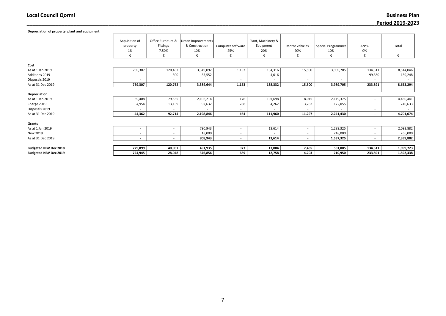\_\_\_\_\_\_\_\_\_\_\_\_\_\_\_\_\_\_\_\_\_\_\_\_\_\_\_\_\_\_\_\_\_\_\_\_\_\_\_\_\_\_\_\_\_\_\_\_\_\_\_\_\_\_\_\_\_\_\_\_\_\_\_\_\_\_\_\_\_\_\_\_\_\_\_\_\_\_\_\_\_\_\_\_\_\_\_\_\_\_\_\_\_\_\_\_\_\_\_\_\_\_\_\_\_\_\_\_\_\_\_\_\_\_\_\_\_\_\_\_\_\_\_\_\_\_\_\_\_\_\_\_ Business Plan Period 2019-2023

| Depreciation of property, plant and equipment |                                       |                                              |                                                  |                               |                                        |                            |                                  |                          |            |
|-----------------------------------------------|---------------------------------------|----------------------------------------------|--------------------------------------------------|-------------------------------|----------------------------------------|----------------------------|----------------------------------|--------------------------|------------|
|                                               | Acquisition of<br>property<br>1%<br>€ | Office Furniture &<br>Fittings<br>7.50%<br>€ | Urban Improvements<br>& Construction<br>10%<br>€ | Computer software<br>25%<br>€ | Plant, Machinery &<br>Equipment<br>20% | Motor vehicles<br>20%<br>€ | <b>Special Programmes</b><br>10% | ANYC<br>0%<br>€          | Total<br>€ |
| Cost                                          |                                       |                                              |                                                  |                               |                                        |                            |                                  |                          |            |
| As at 1 Jan 2019                              | 769,307                               | 120,462                                      | 3,349,092                                        | 1,153                         | 134,316                                | 15,500                     | 3,989,705                        | 134,511                  | 8,514,046  |
| Additions 2019                                |                                       | 300                                          | 35,552                                           |                               | 4,016                                  |                            |                                  | 99,380                   | 139,248    |
| Disposals 2019                                |                                       |                                              |                                                  | $\sim$                        |                                        | $\overline{\phantom{a}}$   |                                  | $\overline{\phantom{a}}$ |            |
| As at 31 Dec 2019                             | 769,307                               | 120,762                                      | 3,384,644                                        | 1,153                         | 138,332                                | 15,500                     | 3,989,705                        | 233,891                  | 8,653,294  |
|                                               |                                       |                                              |                                                  |                               |                                        |                            |                                  |                          |            |
| Depreciation                                  |                                       |                                              |                                                  |                               |                                        |                            |                                  |                          |            |
| As at 1 Jan 2019                              | 39,408                                | 79,555                                       | 2,106,214                                        | 176                           | 107,698                                | 8,015                      | 2,119,375                        |                          | 4,460,441  |
| Charge 2019                                   | 4,954                                 | 13,159                                       | 92,632                                           | 288                           | 4,262                                  | 3,282                      | 122,055                          |                          | 240,633    |
| Disposals 2019                                |                                       |                                              |                                                  |                               |                                        |                            |                                  | $\overline{\phantom{a}}$ |            |
| As at 31 Dec 2019                             | 44,362                                | 92,714                                       | 2,198,846                                        | 464                           | 111,960                                | 11,297                     | 2,241,430                        | $\overline{\phantom{0}}$ | 4,701,074  |
|                                               |                                       |                                              |                                                  |                               |                                        |                            |                                  |                          |            |
| Grants                                        |                                       |                                              |                                                  |                               |                                        |                            |                                  |                          |            |
| As at 1 Jan 2019                              |                                       | $\overline{\phantom{a}}$                     | 790,943                                          | $\overline{\phantom{a}}$      | 13,614                                 | $\overline{\phantom{a}}$   | 1,289,325                        |                          | 2,093,882  |
| New 2019                                      |                                       | $\overline{\phantom{a}}$                     | 18,000                                           |                               |                                        | $\overline{\phantom{a}}$   | 248,000                          |                          | 266,000    |
| As at 31 Dec 2019                             | $\sim$                                | $\overline{\phantom{a}}$                     | 808,943                                          | $\sim$                        | 13,614                                 | $\overline{\phantom{a}}$   | 1,537,325                        | $\overline{a}$           | 2,359,882  |
|                                               |                                       |                                              |                                                  |                               |                                        |                            |                                  |                          |            |
| <b>Budgeted NBV Dec 2018</b>                  | 729,899                               | 40,907                                       | 451,935                                          | 977                           | 13,004                                 | 7,485                      | 581,005                          | 134,511                  | 1,959,723  |
| <b>Budgeted NBV Dec 2019</b>                  | 724,945                               | 28,048                                       | 376,856                                          | 689                           | 12,758                                 | 4,203                      | 210,950                          | 233,891                  | 1,592,338  |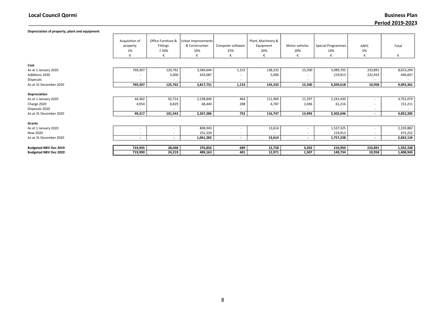\_\_\_\_\_\_\_\_\_\_\_\_\_\_\_\_\_\_\_\_\_\_\_\_\_\_\_\_\_\_\_\_\_\_\_\_\_\_\_\_\_\_\_\_\_\_\_\_\_\_\_\_\_\_\_\_\_\_\_\_\_\_\_\_\_\_\_\_\_\_\_\_\_\_\_\_\_\_\_\_\_\_\_\_\_\_\_\_\_\_\_\_\_\_\_\_\_\_\_\_\_\_\_\_\_\_\_\_\_\_\_\_\_\_\_\_\_\_\_\_\_\_\_\_\_\_\_\_\_\_\_\_ Business Plan Period 2019-2023

| Depreciation of property, plant and equipment |                                       |                                                     |                                             |                               |                                             |                            |                                  |                          |                          |
|-----------------------------------------------|---------------------------------------|-----------------------------------------------------|---------------------------------------------|-------------------------------|---------------------------------------------|----------------------------|----------------------------------|--------------------------|--------------------------|
|                                               | Acquisition of<br>property<br>1%<br>€ | Office Furniture &<br><b>Fittings</b><br>7.50%<br>€ | Urban Improvements<br>& Construction<br>10% | Computer software<br>25%<br>€ | Plant, Machinery &<br>Equipment<br>20%<br>€ | Motor vehicles<br>20%<br>€ | <b>Special Programmes</b><br>10% | ANYC<br>0%<br>€          | Total<br>€               |
| Cost                                          |                                       |                                                     |                                             |                               |                                             |                            |                                  |                          |                          |
| As at 1 January 2020                          | 769,307                               | 120,762                                             | 3,384,644                                   | 1,153                         | 138,332                                     | 15,500                     | 3,989,705                        | 233,891                  | 8,653,294                |
| Additions 2020                                |                                       | 5,000                                               | 433,087                                     |                               | 5,000                                       |                            | 219,913                          | 222,933                  | 440,067                  |
| Disposals                                     |                                       |                                                     |                                             |                               |                                             | $\overline{\phantom{a}}$   |                                  |                          |                          |
| As at 31 December 2020                        | 769,307                               | 125,762                                             | 3,817,731                                   | 1,153                         | 143,332                                     | 15,500                     | 4,209,618                        | 10,958                   | 9,093,361                |
| Depreciation                                  |                                       |                                                     |                                             |                               |                                             |                            |                                  |                          |                          |
| As at 1 January 2020                          | 44,362                                | 92,714                                              | 2,198,846                                   | 464                           | 111,960                                     | 11,297                     | 2,241,430                        | $\overline{\phantom{a}}$ | 4,701,074                |
| Charge 2020                                   | 4,954                                 | 8,829                                               | 68,440                                      | 288                           | 4,787                                       | 2,696                      | 61,216                           | $\overline{\phantom{a}}$ | 151,211                  |
| Disposals 2020                                |                                       |                                                     |                                             |                               |                                             | $\overline{\phantom{a}}$   |                                  | $\overline{\phantom{a}}$ | $\overline{\phantom{a}}$ |
| As at 31 December 2020                        | 49,317                                | 101,543                                             | 2,267,286                                   | 752                           | 116,747                                     | 13,993                     | 2,302,646                        | $\overline{\phantom{a}}$ | 4,852,285                |
| Grants                                        |                                       |                                                     |                                             |                               |                                             |                            |                                  |                          |                          |
| As at 1 January 2020                          |                                       |                                                     | 808,943                                     |                               | 13,614                                      |                            | 1,537,325                        | $\overline{\phantom{a}}$ | 2,359,882                |
| New 2020                                      | $\overline{\phantom{a}}$              | $\overline{\phantom{a}}$                            | 252,339                                     |                               |                                             | $\overline{\phantom{a}}$   | 219,913                          | $\overline{\phantom{a}}$ | 472,252                  |
| As at 31 December 2020                        | $\sim$                                | $\overline{\phantom{a}}$                            | 1,061,282                                   | $\overline{\phantom{a}}$      | 13,614                                      | $\overline{\phantom{a}}$   | 1,757,238                        | $\overline{\phantom{a}}$ | 2,832,134                |
|                                               |                                       |                                                     |                                             |                               |                                             |                            |                                  |                          |                          |
| <b>Budgeted NBV Dec 2019</b>                  | 724,945                               | 28,048                                              | 376,856                                     | 689                           | 12,758                                      | 4,203                      | 210,950                          | 233,891                  | 1,592,338                |
| <b>Budgeted NBV Dec 2020</b>                  | 719,990                               | 24,219                                              | 489,163                                     | 401                           | 12,971                                      | 1,507                      | 149,734                          | 10,958                   | 1,408,943                |
|                                               |                                       |                                                     |                                             |                               |                                             |                            |                                  |                          |                          |

#### 8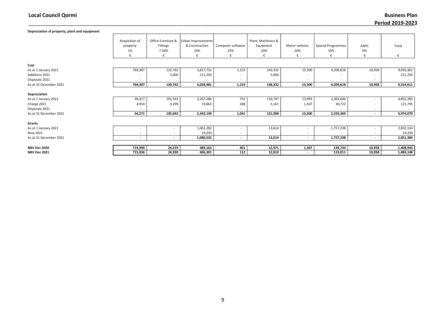Depreciation of property, plant and equipment

\_\_\_\_\_\_\_\_\_\_\_\_\_\_\_\_\_\_\_\_\_\_\_\_\_\_\_\_\_\_\_\_\_\_\_\_\_\_\_\_\_\_\_\_\_\_\_\_\_\_\_\_\_\_\_\_\_\_\_\_\_\_\_\_\_\_\_\_\_\_\_\_\_\_\_\_\_\_\_\_\_\_\_\_\_\_\_\_\_\_\_\_\_\_\_\_\_\_\_\_\_\_\_\_\_\_\_\_\_\_\_\_\_\_\_\_\_\_\_\_\_\_\_\_\_\_\_\_\_\_\_\_ Business Plan Period 2019-2023

|                        | Acquisition of           | Office Furniture &       | Urban Improvements |                          | Plant, Machinery &       |                          |                           |                          |           |
|------------------------|--------------------------|--------------------------|--------------------|--------------------------|--------------------------|--------------------------|---------------------------|--------------------------|-----------|
|                        | property                 | Fittings                 | & Construction     | Computer software        | Equipment                | Motor vehicles           | <b>Special Programmes</b> | ANYC                     | Total     |
|                        | 1%                       | 7.50%                    | 10%                | 25%                      | 20%                      | 20%                      | 10%                       | 0%                       |           |
|                        | €                        | €                        | €                  | €                        | €                        | €                        | €                         | €                        | €         |
|                        |                          |                          |                    |                          |                          |                          |                           |                          |           |
| Cost                   |                          |                          |                    |                          |                          |                          |                           |                          |           |
| As at 1 January 2021   | 769,307                  | 125,762                  | 3,817,731          | 1,153                    | 143,332                  | 15,500                   | 4,209,618                 | 10,958                   | 9,093,361 |
| Additions 2021         |                          | 5,000                    | 211,250            |                          | 5,000                    | $\overline{\phantom{a}}$ |                           |                          | 221,250   |
| Disposals 2021         | $\overline{\phantom{a}}$ |                          |                    | $\overline{\phantom{a}}$ |                          | $\overline{\phantom{a}}$ | $\sim$                    | $\overline{\phantom{a}}$ |           |
| As at 31 December 2021 | 769,307                  | 130,762                  | 4,028,981          | 1,153                    | 148,332                  | 15,500                   | 4,209,618                 | 10,958                   | 9,314,611 |
|                        |                          |                          |                    |                          |                          |                          |                           |                          |           |
| Depreciation           |                          |                          |                    |                          |                          |                          |                           |                          |           |
| As at 1 January 2021   | 49,317                   | 101,543                  | 2,267,286          | 752                      | 116,747                  | 13,993                   | 2,302,646                 | $\overline{\phantom{a}}$ | 4,852,285 |
| Charge 2021            | 4,954                    | 4,299                    | 74,863             | 288                      | 5,161                    | 1,507                    | 30,722                    |                          | 121,795   |
| Disposals 2021         |                          |                          |                    |                          |                          |                          |                           | $\overline{\phantom{a}}$ |           |
| As at 31 December 2021 | 54,271                   | 105,842                  | 2,342,149          | 1,041                    | 121,908                  | 15,500                   | 2,333,369                 | $\overline{\phantom{a}}$ | 4,974,079 |
|                        |                          |                          |                    |                          |                          |                          |                           |                          |           |
| Grants                 |                          |                          |                    |                          |                          |                          |                           |                          |           |
| As at 1 January 2021   | $\overline{\phantom{a}}$ | $\overline{\phantom{a}}$ | 1,061,282          | $\overline{\phantom{a}}$ | 13,614                   | $\overline{\phantom{a}}$ | 1,757,238                 | $\overline{\phantom{a}}$ | 2,832,134 |
| New 2021               | $\overline{\phantom{a}}$ | $\overline{\phantom{a}}$ | 19,250             | $\overline{\phantom{a}}$ | $\overline{\phantom{a}}$ | $\overline{\phantom{a}}$ | $\sim$                    | $\overline{\phantom{a}}$ | 19,250    |
| As at 31 December 2021 | $\sim$                   | $\overline{\phantom{a}}$ | 1,080,532          | $\sim$                   | 13,614                   | $\overline{\phantom{a}}$ | 1,757,238                 | $\overline{\phantom{a}}$ | 2,851,384 |
|                        |                          |                          |                    |                          |                          |                          |                           |                          |           |
| <b>NBV Dec 2020</b>    | 719,990                  | 24,219                   | 489,163            | 401                      | 12,971                   | 1,507                    | 149,734                   | 10,958                   | 1,408,943 |
| <b>NBV Dec 2021</b>    | 715,036                  | 24,920                   | 606,301            | 112                      | 12,810                   | $\overline{\phantom{a}}$ | 119,011                   | 10,958                   | 1,489,148 |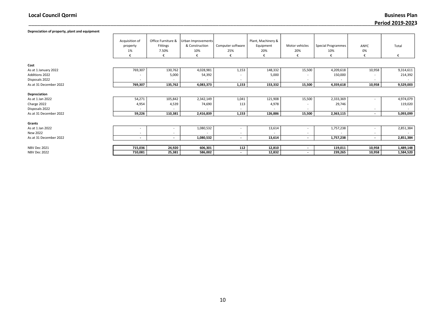\_\_\_\_\_\_\_\_\_\_\_\_\_\_\_\_\_\_\_\_\_\_\_\_\_\_\_\_\_\_\_\_\_\_\_\_\_\_\_\_\_\_\_\_\_\_\_\_\_\_\_\_\_\_\_\_\_\_\_\_\_\_\_\_\_\_\_\_\_\_\_\_\_\_\_\_\_\_\_\_\_\_\_\_\_\_\_\_\_\_\_\_\_\_\_\_\_\_\_\_\_\_\_\_\_\_\_\_\_\_\_\_\_\_\_\_\_\_\_\_\_\_\_\_\_\_\_\_\_\_\_\_ Business Plan Period 2019-2023

| Depreciation of property, plant and equipment |                                       |                                              |                                                  |                               |                                             |                            |                                  |                          |            |
|-----------------------------------------------|---------------------------------------|----------------------------------------------|--------------------------------------------------|-------------------------------|---------------------------------------------|----------------------------|----------------------------------|--------------------------|------------|
|                                               | Acquisition of<br>property<br>1%<br>€ | Office Furniture &<br>Fittings<br>7.50%<br>€ | Urban Improvements<br>& Construction<br>10%<br>€ | Computer software<br>25%<br>€ | Plant, Machinery &<br>Equipment<br>20%<br>€ | Motor vehicles<br>20%<br>€ | <b>Special Programmes</b><br>10% | ANYC<br>0%<br>€          | Total<br>€ |
| Cost                                          |                                       |                                              |                                                  |                               |                                             |                            |                                  |                          |            |
| As at 1 January 2022                          | 769,307                               | 130,762                                      | 4,028,981                                        | 1,153                         | 148,332                                     | 15,500                     | 4,209,618                        | 10,958                   | 9,314,611  |
| <b>Additions 2022</b>                         |                                       | 5,000                                        | 54,392                                           |                               | 5,000                                       |                            | 150,000                          |                          | 214,392    |
| Disposals 2022                                | $\overline{\phantom{a}}$              | $\overline{\phantom{a}}$                     | -                                                | $\overline{\phantom{0}}$      |                                             | $\overline{\phantom{a}}$   |                                  | $\overline{\phantom{a}}$ |            |
| As at 31 December 2022                        | 769,307                               | 135,762                                      | 4,083,373                                        | 1,153                         | 153,332                                     | 15,500                     | 4,359,618                        | 10,958                   | 9,529,003  |
| Depreciation                                  |                                       |                                              |                                                  |                               |                                             |                            |                                  |                          |            |
| As at 1 Jan 2022                              | 54,271                                | 105,842                                      | 2,342,149                                        | 1,041                         | 121,908                                     | 15,500                     | 2,333,369                        |                          | 4,974,079  |
| Charge 2022                                   | 4,954                                 | 4,539                                        | 74,690                                           | 113                           | 4,978                                       |                            | 29,746                           |                          | 119,020    |
| Disposals 2022                                |                                       |                                              |                                                  |                               |                                             | $\overline{\phantom{a}}$   |                                  | $\overline{\phantom{a}}$ |            |
| As at 31 December 2022                        | 59,226                                | 110,381                                      | 2,416,839                                        | 1,153                         | 126,886                                     | 15,500                     | 2,363,115                        | $\overline{\phantom{a}}$ | 5,093,099  |
| Grants                                        |                                       |                                              |                                                  |                               |                                             |                            |                                  |                          |            |
| As at 1 Jan 2022                              |                                       | $\overline{\phantom{a}}$                     | 1,080,532                                        |                               | 13,614                                      | $\overline{\phantom{a}}$   | 1,757,238                        |                          | 2,851,384  |
| New 2022                                      | $\overline{\phantom{a}}$              | $\overline{\phantom{a}}$                     |                                                  |                               |                                             | $\overline{\phantom{a}}$   |                                  | $\overline{\phantom{a}}$ |            |
| As at 31 December 2022                        | $\overline{\phantom{0}}$              | $\overline{\phantom{a}}$                     | 1,080,532                                        | $\overline{\phantom{a}}$      | 13,614                                      | $\overline{\phantom{a}}$   | 1,757,238                        | $\overline{\phantom{a}}$ | 2,851,384  |
|                                               |                                       |                                              |                                                  |                               |                                             |                            |                                  |                          |            |
| <b>NBV Dec 2021</b>                           | 715,036                               | 24,920                                       | 606,301                                          | 112                           | 12,810                                      | $\overline{\phantom{a}}$   | 119,011                          | 10,958                   | 1,489,148  |
| NBV Dec 2022                                  | 710,081                               | 25,381                                       | 586,002                                          | $\overline{\phantom{a}}$      | 12,832                                      |                            | 239,265                          | 10,958                   | 1,584,520  |